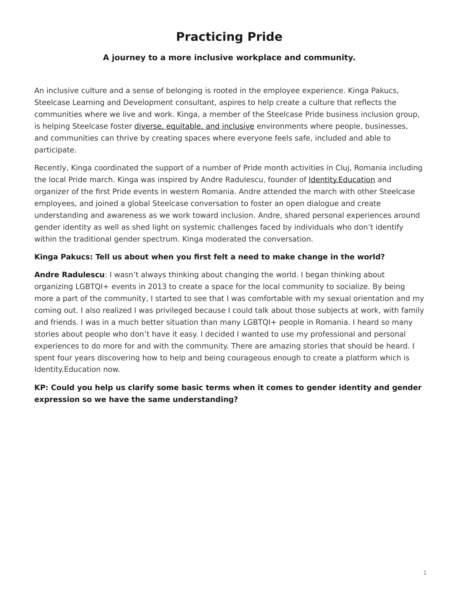# **Practicing Pride**

## <span id="page-0-0"></span>**A journey to a more inclusive workplace and community.**

An inclusive culture and a sense of belonging is rooted in the employee experience. Kinga Pakucs, Steelcase Learning and Development consultant, aspires to help create a culture that reflects the communities where we live and work. Kinga, a member of the Steelcase Pride business inclusion group, is helping Steelcase foster [diverse, equitable, and inclusive](https://www.steelcase.com/discover/steelcase/esg-overview/social/#diversity-equity-inclusion) environments where people, businesses, and communities can thrive by creating spaces where everyone feels safe, included and able to participate.

Recently, Kinga coordinated the support of a number of Pride month activities in Cluj, Romania including the local Pride march. Kinga was inspired by Andre Radulescu, founder of [Identity.Education](https://identity.education/) and organizer of the first Pride events in western Romania. Andre attended the march with other Steelcase employees, and joined a global Steelcase conversation to foster an open dialogue and create understanding and awareness as we work toward inclusion. Andre, shared personal experiences around gender identity as well as shed light on systemic challenges faced by individuals who don't identify within the traditional gender spectrum. Kinga moderated the conversation.

#### **Kinga Pakucs: Tell us about when you first felt a need to make change in the world?**

**Andre Radulescu**: I wasn't always thinking about changing the world. I began thinking about organizing LGBTQI+ events in 2013 to create a space for the local community to socialize. By being more a part of the community, I started to see that I was comfortable with my sexual orientation and my coming out. I also realized I was privileged because I could talk about those subjects at work, with family and friends. I was in a much better situation than many LGBTQI+ people in Romania. I heard so many stories about people who don't have it easy. I decided I wanted to use my professional and personal experiences to do more for and with the community. There are amazing stories that should be heard. I spent four years discovering how to help and being courageous enough to create a platform which is Identity.Education now.

## **KP: Could you help us clarify some basic terms when it comes to gender identity and gender expression so we have the same understanding?**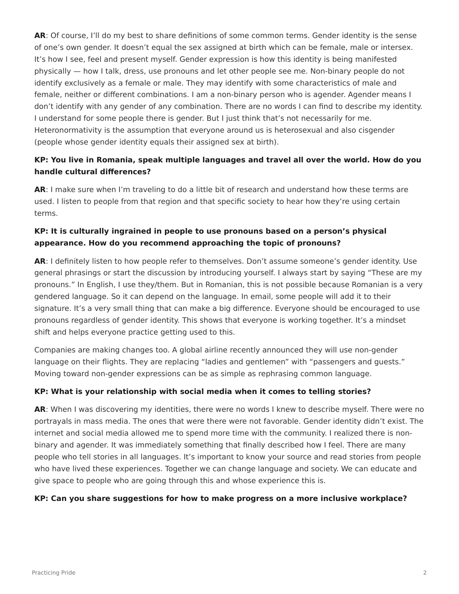**AR**: Of course, I'll do my best to share definitions of some common terms. Gender identity is the sense of one's own gender. It doesn't equal the sex assigned at birth which can be female, male or intersex. It's how I see, feel and present myself. Gender expression is how this identity is being manifested physically — how I talk, dress, use pronouns and let other people see me. Non-binary people do not identify exclusively as a female or male. They may identify with some characteristics of male and female, neither or different combinations. I am a non-binary person who is agender. Agender means I don't identify with any gender of any combination. There are no words I can find to describe my identity. I understand for some people there is gender. But I just think that's not necessarily for me. Heteronormativity is the assumption that everyone around us is heterosexual and also cisgender (people whose gender identity equals their assigned sex at birth).

## **KP: You live in Romania, speak multiple languages and travel all over the world. How do you handle cultural differences?**

**AR**: I make sure when I'm traveling to do a little bit of research and understand how these terms are used. I listen to people from that region and that specific society to hear how they're using certain terms.

## **KP: It is culturally ingrained in people to use pronouns based on a person's physical appearance. How do you recommend approaching the topic of pronouns?**

**AR**: I definitely listen to how people refer to themselves. Don't assume someone's gender identity. Use general phrasings or start the discussion by introducing yourself. I always start by saying "These are my pronouns." In English, I use they/them. But in Romanian, this is not possible because Romanian is a very gendered language. So it can depend on the language. In email, some people will add it to their signature. It's a very small thing that can make a big difference. Everyone should be encouraged to use pronouns regardless of gender identity. This shows that everyone is working together. It's a mindset shift and helps everyone practice getting used to this.

Companies are making changes too. A global airline recently announced they will use non-gender language on their flights. They are replacing "ladies and gentlemen" with "passengers and guests." Moving toward non-gender expressions can be as simple as rephrasing common language.

#### **KP: What is your relationship with social media when it comes to telling stories?**

**AR**: When I was discovering my identities, there were no words I knew to describe myself. There were no portrayals in mass media. The ones that were there were not favorable. Gender identity didn't exist. The internet and social media allowed me to spend more time with the community. I realized there is nonbinary and agender. It was immediately something that finally described how I feel. There are many people who tell stories in all languages. It's important to know your source and read stories from people who have lived these experiences. Together we can change language and society. We can educate and give space to people who are going through this and whose experience this is.

#### **KP: Can you share suggestions for how to make progress on a more inclusive workplace?**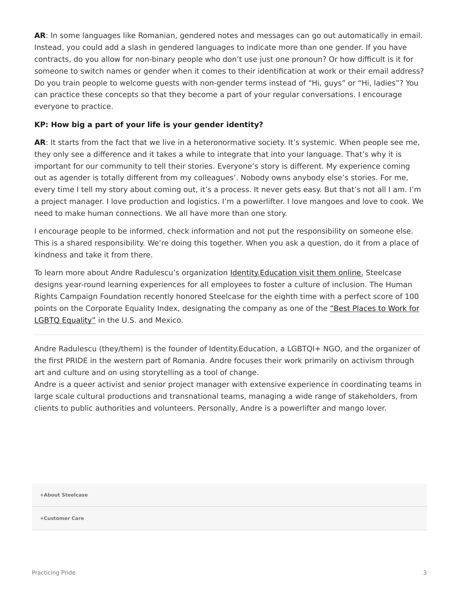**AR**: In some languages like Romanian, gendered notes and messages can go out automatically in email. Instead, you could add a slash in gendered languages to indicate more than one gender. If you have contracts, do you allow for non-binary people who don't use just one pronoun? Or how difficult is it for someone to switch names or gender when it comes to their identification at work or their email address? Do you train people to welcome guests with non-gender terms instead of "Hi, guys" or "Hi, ladies"? You can practice these concepts so that they become a part of your regular conversations. I encourage everyone to practice.

#### **KP: How big a part of your life is your gender identity?**

AR: It starts from the fact that we live in a heteronormative society. It's systemic. When people see me, they only see a difference and it takes a while to integrate that into your language. That's why it is important for our community to tell their stories. Everyone's story is different. My experience coming out as agender is totally different from my colleagues'. Nobody owns anybody else's stories. For me, every time I tell my story about coming out, it's a process. It never gets easy. But that's not all I am. I'm a project manager. I love production and logistics. I'm a powerlifter. I love mangoes and love to cook. We need to make human connections. We all have more than one story.

I encourage people to be informed, check information and not put the responsibility on someone else. This is a shared responsibility. We're doing this together. When you ask a question, do it from a place of kindness and take it from there.

To learn more about Andre Radulescu's organization Identity. Education visit them online. Steelcase designs year-round learning experiences for all employees to foster a culture of inclusion. The Human Rights Campaign Foundation recently honored Steelcase for the eighth time with a perfect score of 100 points on the Corporate Equality Index, designating the company as one of the ["Best Places to Work for](https://www.steelcase.com/press-releases/steelcase-named-best-place-work-lgbtq-equality/) [LGBTQ Equality"](https://www.steelcase.com/press-releases/steelcase-named-best-place-work-lgbtq-equality/) in the U.S. and Mexico.

Andre Radulescu (they/them) is the founder of Identity.Education, a LGBTQI+ NGO, and the organizer of the first PRIDE in the western part of Romania. Andre focuses their work primarily on activism through art and culture and on using storytelling as a tool of change.

Andre is a queer activist and senior project manager with extensive experience in coordinating teams in large scale cultural productions and transnational teams, managing a wide range of stakeholders, from clients to public authorities and volunteers. Personally, Andre is a powerlifter and mango lover.

**[+About Steelcase](https://www.steelcase.com/discover/steelcase/our-company/)**

**[+Customer Care](#page-0-0)**